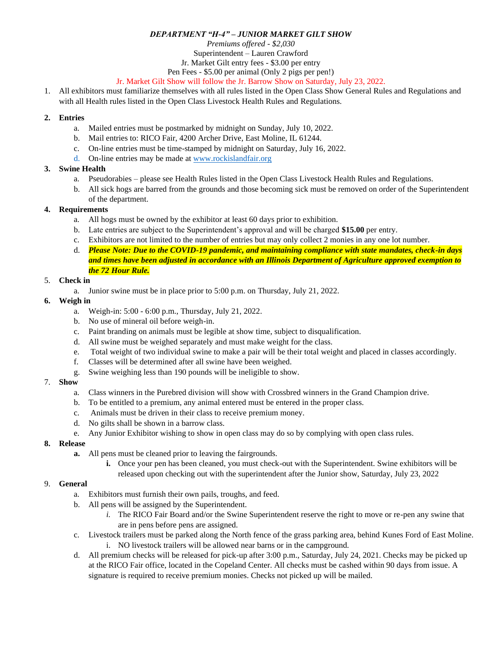### *DEPARTMENT "H-4" – JUNIOR MARKET GILT SHOW*

*Premiums offered - \$2,030*

Superintendent – Lauren Crawford

Jr. Market Gilt entry fees - \$3.00 per entry

Pen Fees - \$5.00 per animal (Only 2 pigs per pen!)

### Jr. Market Gilt Show will follow the Jr. Barrow Show on Saturday, July 23, 2022.

1. All exhibitors must familiarize themselves with all rules listed in the Open Class Show General Rules and Regulations and with all Health rules listed in the Open Class Livestock Health Rules and Regulations.

### **2. Entries**

- a. Mailed entries must be postmarked by midnight on Sunday, July 10, 2022.
- b. Mail entries to: RICO Fair, 4200 Archer Drive, East Moline, IL 61244.
- c. On-line entries must be time-stamped by midnight on Saturday, July 16, 2022.
- d. On-line entries may be made a[t www.rockislandfair.org](http://www.rockislandfair.org/)

### **3. Swine Health**

- a. Pseudorabies please see Health Rules listed in the Open Class Livestock Health Rules and Regulations.
- b. All sick hogs are barred from the grounds and those becoming sick must be removed on order of the Superintendent of the department.

### **4. Requirements**

- a. All hogs must be owned by the exhibitor at least 60 days prior to exhibition.
- b. Late entries are subject to the Superintendent's approval and will be charged **\$15.00** per entry.
- c. Exhibitors are not limited to the number of entries but may only collect 2 monies in any one lot number.
- d. *Please Note: Due to the COVID-19 pandemic, and maintaining compliance with state mandates, check-in days and times have been adjusted in accordance with an Illinois Department of Agriculture approved exemption to the 72 Hour Rule.*

### 5. **Check in**

a. Junior swine must be in place prior to 5:00 p.m. on Thursday, July 21, 2022.

### **6. Weigh in**

- a. Weigh-in: 5:00 6:00 p.m., Thursday, July 21, 2022.
- b. No use of mineral oil before weigh-in.
- c. Paint branding on animals must be legible at show time, subject to disqualification.
- d. All swine must be weighed separately and must make weight for the class.
- e. Total weight of two individual swine to make a pair will be their total weight and placed in classes accordingly.
- f. Classes will be determined after all swine have been weighed.
- g. Swine weighing less than 190 pounds will be ineligible to show.

# 7. **Show**

- a. Class winners in the Purebred division will show with Crossbred winners in the Grand Champion drive.
- b. To be entitled to a premium, any animal entered must be entered in the proper class.
- c. Animals must be driven in their class to receive premium money.
- d. No gilts shall be shown in a barrow class.
- e. Any Junior Exhibitor wishing to show in open class may do so by complying with open class rules.

# **8. Release**

- **a.** All pens must be cleaned prior to leaving the fairgrounds.
	- **i.** Once your pen has been cleaned, you must check-out with the Superintendent. Swine exhibitors will be released upon checking out with the superintendent after the Junior show, Saturday, July 23, 2022

# 9. **General**

- a. Exhibitors must furnish their own pails, troughs, and feed.
- b. All pens will be assigned by the Superintendent.
	- *i.* The RICO Fair Board and/or the Swine Superintendent reserve the right to move or re-pen any swine that are in pens before pens are assigned.
- c. Livestock trailers must be parked along the North fence of the grass parking area, behind Kunes Ford of East Moline. i. NO livestock trailers will be allowed near barns or in the campground.
- d. All premium checks will be released for pick-up after 3:00 p.m., Saturday, July 24, 2021. Checks may be picked up at the RICO Fair office, located in the Copeland Center. All checks must be cashed within 90 days from issue. A signature is required to receive premium monies. Checks not picked up will be mailed.